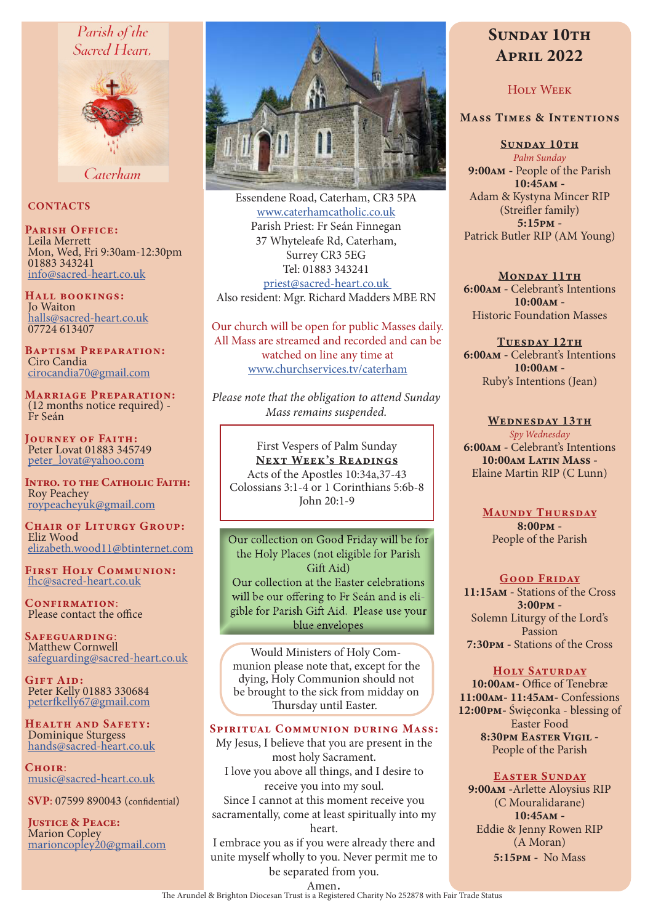## Parish of the Sacred Heart.



Caterham

#### **CONTACTS**

PARISH OFFICE: Leila Merrett Mon, Wed, Fri 9:30am-12:30pm 01883 343241 info@sacred-heart.co.uk

Hall bookings: Jo Waiton halls@sacred-heart.co.uk 07724 613407

Baptism Preparation: Ciro Candia cirocandia70@gmail.com

Marriage Preparation: (12 months notice required) - Fr Seán

Journey of Faith: Peter Lovat 01883 345749 peter\_lovat@yahoo.com

INTRO. TO THE CATHOLIC FAITH: Roy Peachey roypeacheyuk@gmail.com

CHAIR OF LITURGY GROUP: Eliz Wood elizabeth.wood11@btinternet.com

First Holy Communion: fhc@sacred-heart.co.uk

CONFIRMATION: Please contact the office

Safeguarding: Matthew Cornwell safeguarding@sacred-heart.co.uk

GIFT AID: Peter Kelly 01883 330684 peterfkelly67@gmail.com

Health and Safety: Dominique Sturgess hands@sacred-heart.co.uk

 $C$ HOIR $\cdot$ music@sacred-heart.co.uk

SVP: 07599 890043 (confidential)

JUSTICE & PEACE: Marion Copley marioncopley20@gmail.com



Essendene Road, Caterham, CR3 5PA www.caterhamcatholic.co.uk Parish Priest: Fr Seán Finnegan 37 Whyteleafe Rd, Caterham, Surrey CR3 5EG Tel: 01883 343241 priest@sacred-heart.co.uk Also resident: Mgr. Richard Madders MBE RN

Our church will be open for public Masses daily. All Mass are streamed and recorded and can be watched on line any time at www.churchservices.tv/caterham

*Please note that the obligation to attend Sunday Mass remains suspended.*

#### First Vespers of Palm Sunday NEXT WEEK'S READINGS

Acts of the Apostles 10:34a,37-43 Colossians 3:1-4 or 1 Corinthians 5:6b-8 John  $20.1-9$ 

Our collection on Good Friday will be for the Holy Places (not eligible for Parish  $\overline{\text{Giff}}$  Aid) Our collection at the Easter celebrations will be our offering to Fr Seán and is eligible for Parish Gift Aid. Please use your blue envelopes

Would Ministers of Holy Communion please note that, except for the dying, Holy Communion should not be brought to the sick from midday on Thursday until Easter.

#### Spiritual Communion during Mass:

My Jesus, I believe that you are present in the most holy Sacrament. I love you above all things, and I desire to receive you into my soul. Since I cannot at this moment receive you sacramentally, come at least spiritually into my heart.

I embrace you as if you were already there and unite myself wholly to you. Never permit me to be separated from you.

# SUNDAY 10TH April 2022

### Holy Week

#### Mass Times & Intentions

SUNDAY 10TH *Palm Sunday*

9:00am - People of the Parish 10:45am - Adam & Kystyna Mincer RIP (Streifler family) 5:15pm - Patrick Butler RIP (AM Young)

MONDAY 11TH 6:00am - Celebrant's Intentions 10:00am - Historic Foundation Masses

TUESDAY 12TH 6:00am - Celebrant's Intentions 10:00am - Ruby's Intentions (Jean)

WEDNESDAY 13TH *Spy Wednesday* 6:00am - Celebrant's Intentions 10:00am Latin Mass -Elaine Martin RIP (C Lunn)

> MAUNDY THURSDAY 8:00pm - People of the Parish

#### GOOD FRIDAY

11:15am - Stations of the Cross 3:00pm - Solemn Liturgy of the Lord's Passion 7:30pm - Stations of the Cross

#### HOLY SATURDAY

10:00am- Office of Tenebræ 11:00am- 11:45am- Confessions 12:00pm- Święconka - blessing of Easter Food 8:30pm Easter Vigil - People of the Parish

#### EASTER SUNDAY

9:00am -Arlette Aloysius RIP (C Mouralidarane) 10:45am - Eddie & Jenny Rowen RIP (A Moran) 5:15pm - No Mass

Amen.<br>The Arundel & Brighton Diocesan Trust is a Registered Charity No 252878 with Fair Trade Status